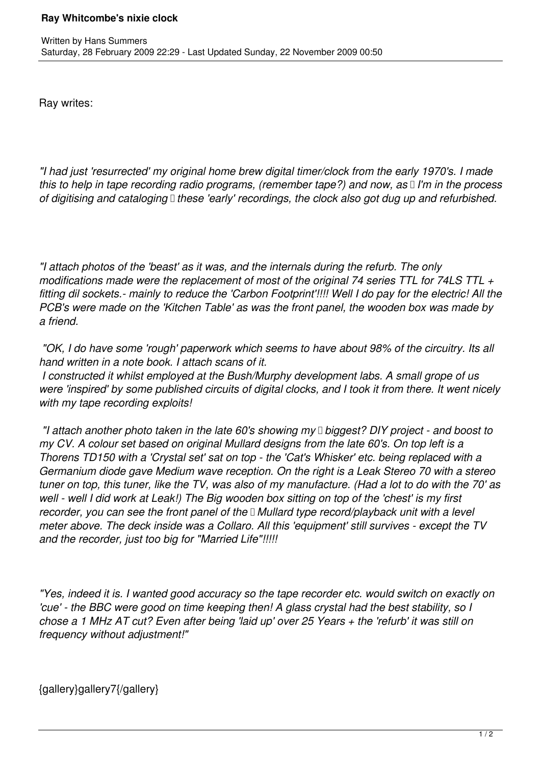Ray writes:

*"I had just 'resurrected' my original home brew digital timer/clock from the early 1970's. I made this to help in tape recording radio programs, (remember tape?) and now, as I'm in the process of digitising and cataloging these 'early' recordings, the clock also got dug up and refurbished.*

*"I attach photos of the 'beast' as it was, and the internals during the refurb. The only modifications made were the replacement of most of the original 74 series TTL for 74LS TTL + fitting dil sockets.- mainly to reduce the 'Carbon Footprint'!!!! Well I do pay for the electric! All the PCB's were made on the 'Kitchen Table' as was the front panel, the wooden box was made by a friend.*

 *"OK, I do have some 'rough' paperwork which seems to have about 98% of the circuitry. Its all hand written in a note book. I attach scans of it.*

 *I constructed it whilst employed at the Bush/Murphy development labs. A small grope of us were 'inspired' by some published circuits of digital clocks, and I took it from there. It went nicely with my tape recording exploits!*

 *"I attach another photo taken in the late 60's showing my biggest? DIY project - and boost to my CV. A colour set based on original Mullard designs from the late 60's. On top left is a Thorens TD150 with a 'Crystal set' sat on top - the 'Cat's Whisker' etc. being replaced with a Germanium diode gave Medium wave reception. On the right is a Leak Stereo 70 with a stereo tuner on top, this tuner, like the TV, was also of my manufacture. (Had a lot to do with the 70' as well - well I did work at Leak!) The Big wooden box sitting on top of the 'chest' is my first recorder, you can see the front panel of the Mullard type record/playback unit with a level meter above. The deck inside was a Collaro. All this 'equipment' still survives - except the TV and the recorder, just too big for "Married Life"!!!!!*

*"Yes, indeed it is. I wanted good accuracy so the tape recorder etc. would switch on exactly on 'cue' - the BBC were good on time keeping then! A glass crystal had the best stability, so I chose a 1 MHz AT cut? Even after being 'laid up' over 25 Years + the 'refurb' it was still on frequency without adjustment!"*

{gallery}gallery7{/gallery}